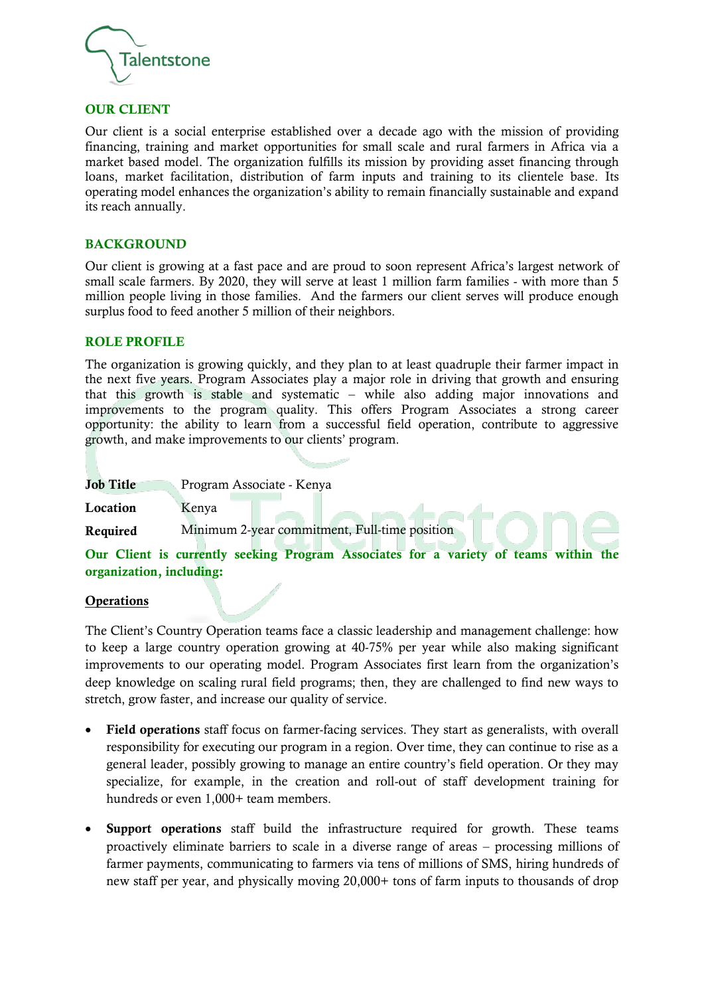

### OUR CLIENT

Our client is a social enterprise established over a decade ago with the mission of providing financing, training and market opportunities for small scale and rural farmers in Africa via a market based model. The organization fulfills its mission by providing asset financing through loans, market facilitation, distribution of farm inputs and training to its clientele base. Its operating model enhances the organization's ability to remain financially sustainable and expand its reach annually.

### **BACKGROUND**

Our client is growing at a fast pace and are proud to soon represent Africa's largest network of small scale farmers. By 2020, they will serve at least 1 million farm families - with more than 5 million people living in those families. And the farmers our client serves will produce enough surplus food to feed another 5 million of their neighbors.

### ROLE PROFILE

The organization is growing quickly, and they plan to at least quadruple their farmer impact in the next five years. Program Associates play a major role in driving that growth and ensuring that this growth is stable and systematic – while also adding major innovations and improvements to the program quality. This offers Program Associates a strong career opportunity: the ability to learn from a successful field operation, contribute to aggressive growth, and make improvements to our clients' program.

Job Title Program Associate - Kenya

Location Kenya

Required Minimum 2-year commitment, Full-time position

Our Client is currently seeking Program Associates for a variety of teams within the organization, including:

#### **Operations**

The Client's Country Operation teams face a classic leadership and management challenge: how to keep a large country operation growing at 40-75% per year while also making significant improvements to our operating model. Program Associates first learn from the organization's deep knowledge on scaling rural field programs; then, they are challenged to find new ways to stretch, grow faster, and increase our quality of service.

- Field operations staff focus on farmer-facing services. They start as generalists, with overall responsibility for executing our program in a region. Over time, they can continue to rise as a general leader, possibly growing to manage an entire country's field operation. Or they may specialize, for example, in the creation and roll-out of staff development training for hundreds or even 1,000+ team members.
- **Support operations** staff build the infrastructure required for growth. These teams proactively eliminate barriers to scale in a diverse range of areas – processing millions of farmer payments, communicating to farmers via tens of millions of SMS, hiring hundreds of new staff per year, and physically moving 20,000+ tons of farm inputs to thousands of drop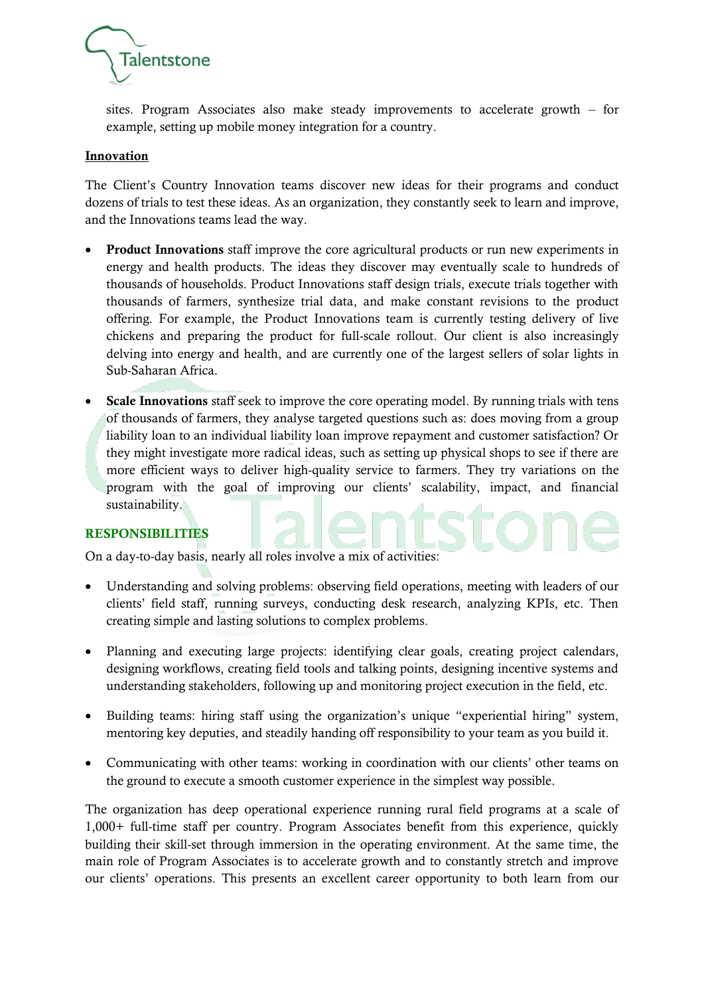

sites. Program Associates also make steady improvements to accelerate growth – for example, setting up mobile money integration for a country.

### Innovation

The Client's Country Innovation teams discover new ideas for their programs and conduct dozens of trials to test these ideas. As an organization, they constantly seek to learn and improve, and the Innovations teams lead the way.

- Product Innovations staff improve the core agricultural products or run new experiments in energy and health products. The ideas they discover may eventually scale to hundreds of thousands of households. Product Innovations staff design trials, execute trials together with thousands of farmers, synthesize trial data, and make constant revisions to the product offering. For example, the Product Innovations team is currently testing delivery of live chickens and preparing the product for full-scale rollout. Our client is also increasingly delving into energy and health, and are currently one of the largest sellers of solar lights in Sub-Saharan Africa.
- Scale Innovations staff seek to improve the core operating model. By running trials with tens of thousands of farmers, they analyse targeted questions such as: does moving from a group liability loan to an individual liability loan improve repayment and customer satisfaction? Or they might investigate more radical ideas, such as setting up physical shops to see if there are more efficient ways to deliver high-quality service to farmers. They try variations on the program with the goal of improving our clients' scalability, impact, and financial sustainability.

# RESPONSIBILITIES

On a day-to-day basis, nearly all roles involve a mix of activities:

- Understanding and solving problems: observing field operations, meeting with leaders of our clients' field staff, running surveys, conducting desk research, analyzing KPIs, etc. Then creating simple and lasting solutions to complex problems.
- Planning and executing large projects: identifying clear goals, creating project calendars, designing workflows, creating field tools and talking points, designing incentive systems and understanding stakeholders, following up and monitoring project execution in the field, etc.
- Building teams: hiring staff using the organization's unique "experiential hiring" system, mentoring key deputies, and steadily handing off responsibility to your team as you build it.
- Communicating with other teams: working in coordination with our clients' other teams on the ground to execute a smooth customer experience in the simplest way possible.

The organization has deep operational experience running rural field programs at a scale of 1,000+ full-time staff per country. Program Associates benefit from this experience, quickly building their skill-set through immersion in the operating environment. At the same time, the main role of Program Associates is to accelerate growth and to constantly stretch and improve our clients' operations. This presents an excellent career opportunity to both learn from our